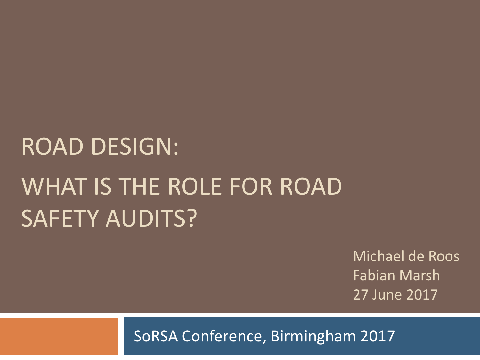## ROAD DESIGN: WHAT IS THE ROLE FOR ROAD SAFETY AUDITS?

Michael de Roos Fabian Marsh 27 June 2017

SoRSA Conference, Birmingham 2017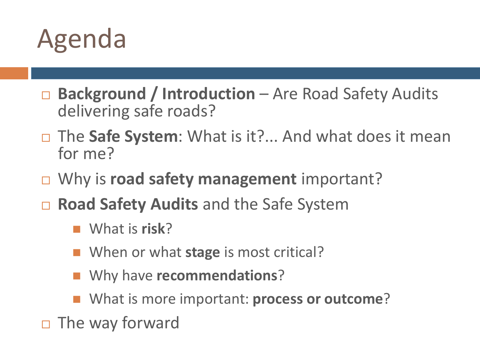

- □ Background / Introduction Are Road Safety Audits delivering safe roads?
- The **Safe System**: What is it?... And what does it mean for me?
- □ Why is **road safety management** important?
- **Road Safety Audits** and the Safe System
	- What is **risk**?
	- When or what **stage** is most critical?
	- Why have **recommendations**?
	- What is more important: **process or outcome**?
- $\Box$  The way forward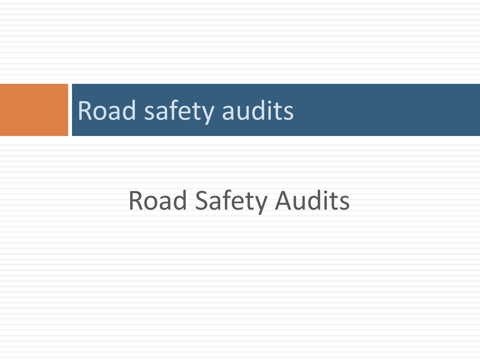### Road Safety Audits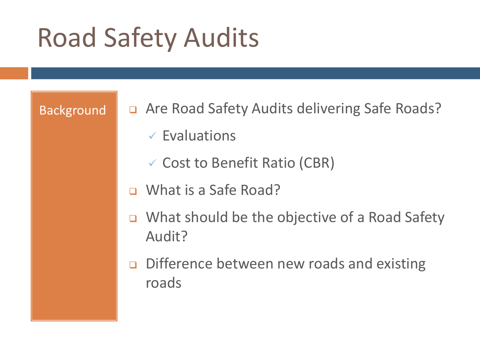- Background **Quart Are Road Safety Audits delivering Safe Roads?** 
	- $\checkmark$  Evaluations
	- $\checkmark$  Cost to Benefit Ratio (CBR)
	- □ What is a Safe Road?
	- □ What should be the objective of a Road Safety Audit?
	- **Difference between new roads and existing** roads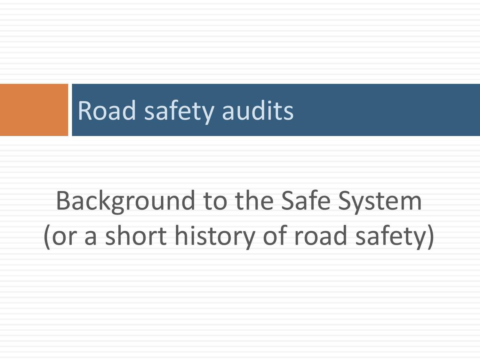## Background to the Safe System (or a short history of road safety)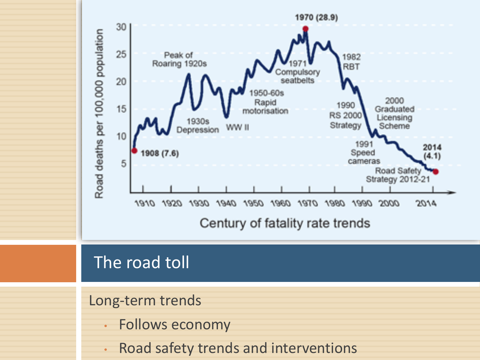

#### The road toll

#### Long-term trends

- Follows economy
- Road safety trends and interventions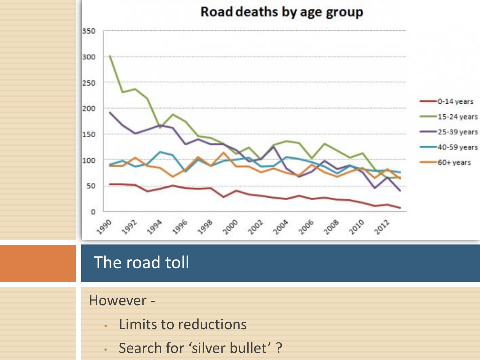

### The road toll

#### However -

- Limits to reductions
- Search for 'silver bullet' ?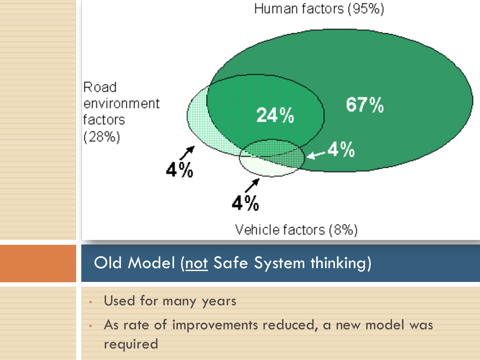#### Human factors (95%)



required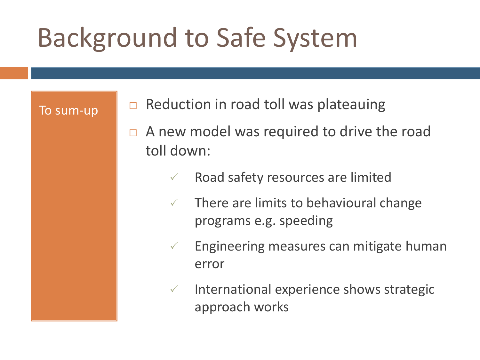### Background to Safe System

- To sum-up  $\|\Box$  Reduction in road toll was plateauing
	- $\Box$  A new model was required to drive the road toll down:
		- $\sqrt{ }$  Road safety resources are limited
		- $\sqrt{ }$  There are limits to behavioural change programs e.g. speeding
		- $\checkmark$  Engineering measures can mitigate human error
		- $\checkmark$  International experience shows strategic approach works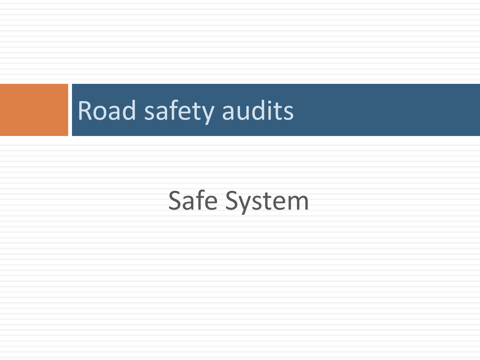### Safe System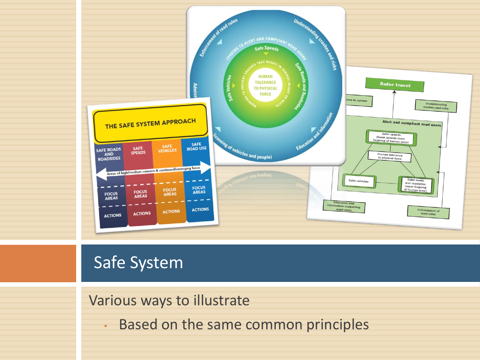

#### Various ways to illustrate

• Based on the same common principles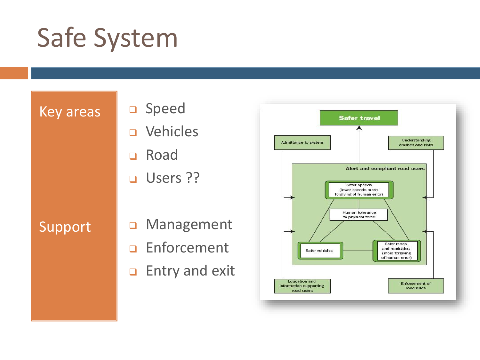#### Key areas

- Speed
- Vehicles
- □ Road
- **u** Users ??

#### Support

- **Q** Management
- **D** Enforcement
- **Entry and exit**

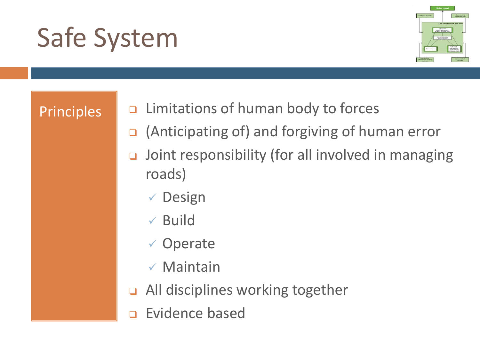

- Principles Limitations of human body to forces
	- (Anticipating of) and forgiving of human error
	- Joint responsibility (for all involved in managing roads)
		- ✓ Design
		- ✓ Build
		- ✓ Operate
		- ✓ Maintain
	- All disciplines working together
	- Evidence based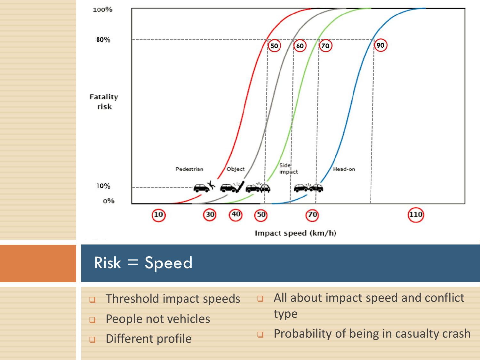

### $Risk = Speed$

- Threshold impact speeds
- **D** People not vehicles
- Different profile
- All about impact speed and conflict type
- **Probability of being in casualty crash**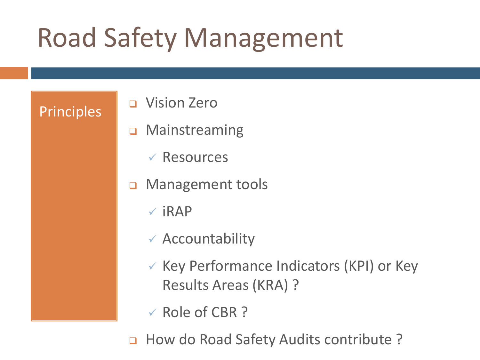### Road Safety Management

- **Principles** Q Vision Zero
	- Mainstreaming
		- ✓ Resources
	- **D** Management tools
		- $\checkmark$  iRAP
		- $\checkmark$  Accountability
		- ✓ Key Performance Indicators (KPI) or Key Results Areas (KRA) ?
		- ✓ Role of CBR ?
	- a How do Road Safety Audits contribute ?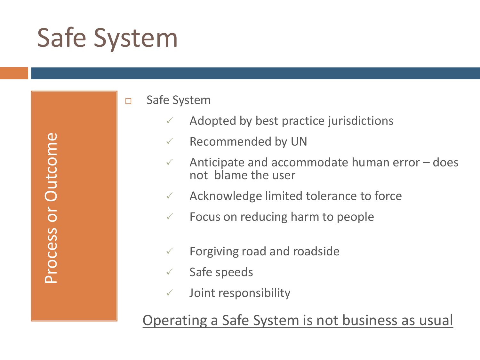$\omega$ Process or Outcome Process or Outcome

□ Safe System

- Adopted by best practice jurisdictions
- Recommended by UN
- Anticipate and accommodate human error does not blame the user
- Acknowledge limited tolerance to force
- Focus on reducing harm to people
- Forgiving road and roadside
- Safe speeds
- Joint responsibility

Operating a Safe System is not business as usual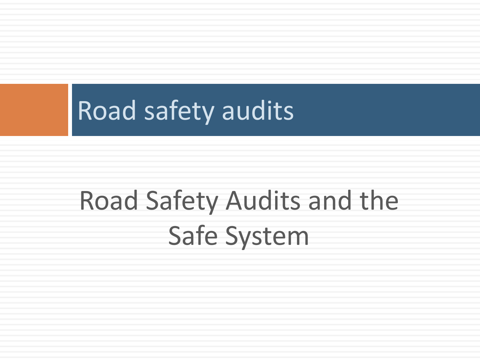## Road Safety Audits and the Safe System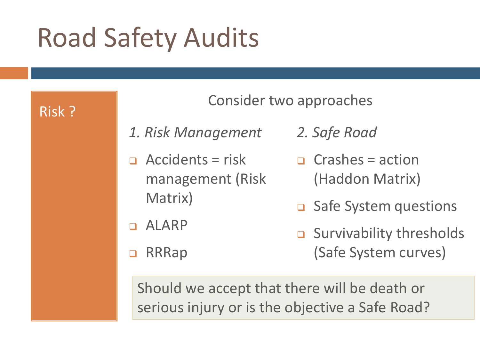

#### Consider two approaches

- *1. Risk Management*
- $\Box$  Accidents = risk management (Risk Matrix)
- ALARP
- □ RRRap
- *2. Safe Road*
- $\Box$  Crashes = action (Haddon Matrix)
- **□** Safe System questions
- $\Box$  Survivability thresholds (Safe System curves)

Should we accept that there will be death or serious injury or is the objective a Safe Road?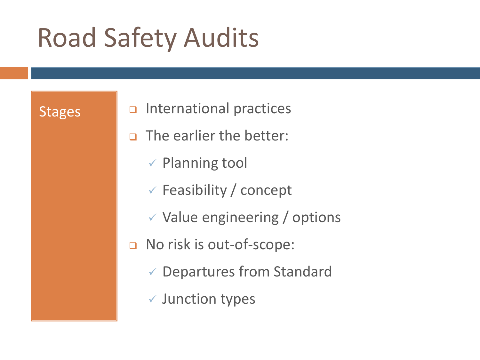- Stages **I a** International practices
	- **D** The earlier the better:
		- ✓ Planning tool
		- $\checkmark$  Feasibility / concept
		- $\checkmark$  Value engineering / options
	- No risk is out-of-scope:
		- ✓ Departures from Standard
		- ✓ Junction types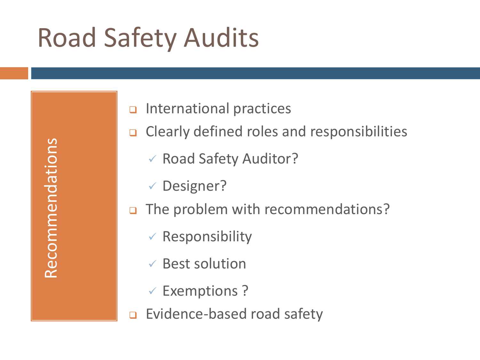Recommendations Recommendations

- $\Box$  International practices
- **Q** Clearly defined roles and responsibilities
	- ✓ Road Safety Auditor?
	- ✓ Designer?
- The problem with recommendations?
	- $\checkmark$  Responsibility
	- ✓ Best solution
	- ✓ Exemptions ?
- **Evidence-based road safety**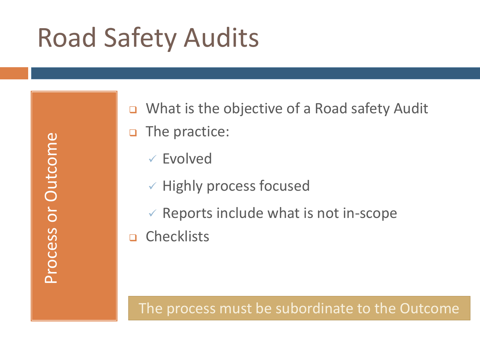Process or Outcome Process or Outcome ■ What is the objective of a Road safety Audit **D** The practice:

✓ Evolved

 $\checkmark$  Highly process focused

 $\checkmark$  Reports include what is not in-scope

n Checklists

#### The process must be subordinate to the Outcome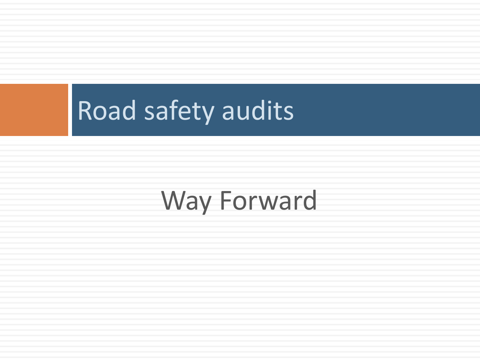### Way Forward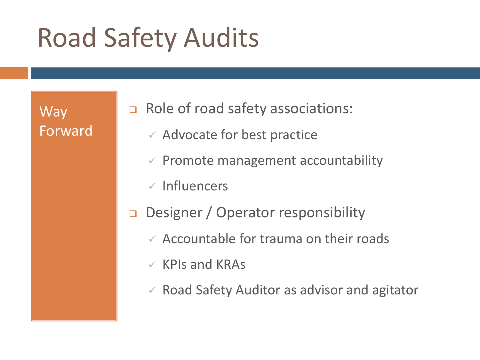Way Forward Role of road safety associations:

- $\checkmark$  Advocate for best practice
- $\checkmark$  Promote management accountability
- ✓ Influencers
- Designer / Operator responsibility
	- $\checkmark$  Accountable for trauma on their roads
	- $\checkmark$  KPIs and KRAs
	- ✓ Road Safety Auditor as advisor and agitator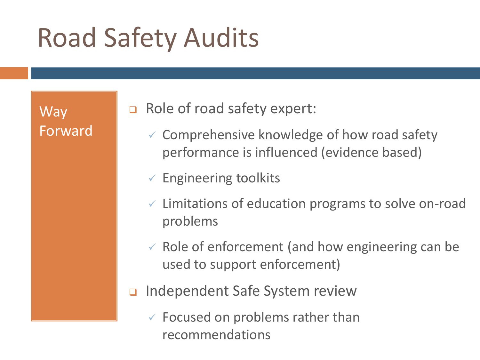Way Forward □ Role of road safety expert:

- $\checkmark$  Comprehensive knowledge of how road safety performance is influenced (evidence based)
- $\checkmark$  Engineering toolkits
- $\checkmark$  Limitations of education programs to solve on-road problems
- $\checkmark$  Role of enforcement (and how engineering can be used to support enforcement)
- □ Independent Safe System review
	- $\checkmark$  Focused on problems rather than recommendations